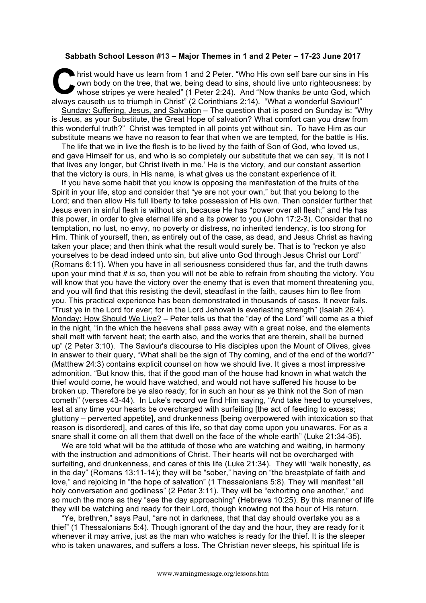## **Sabbath School Lesson #13 – Major Themes in 1 and 2 Peter – 17-23 June 2017**

hrist would have us learn from 1 and 2 Peter. "Who His own self bare our sins in His own body on the tree, that we, being dead to sins, should live unto righteousness: by whose stripes ye were healed" (1 Peter 2:24). And "Now thanks *be* unto God, which always causeth us to triumph in Christ" (2 Corinthians 2:14). "What a wonderful Saviour!"<br>
Always causeth us to triumph in Christ" (2 Corinthians 2:14). "What a wonderful Saviour!" Sunday: Suffering, Jesus, and Salvation – The question that is posed on Sunday is: "Why is Jesus, as your Substitute, the Great Hope of salvation? What comfort can you draw from this wonderful truth?" Christ was tempted in all points yet without sin. To have Him as our substitute means we have no reason to fear that when we are tempted, for the battle is His.

The life that we in live the flesh is to be lived by the faith of Son of God, who loved us, and gave Himself for us, and who is so completely our substitute that we can say, 'It is not I that lives any longer, but Christ liveth in me.' He is the victory, and our constant assertion that the victory is ours, in His name, is what gives us the constant experience of it.

If you have some habit that you know is opposing the manifestation of the fruits of the Spirit in your life, stop and consider that "ye are not your own," but that you belong to the Lord; and then allow His full liberty to take possession of His own. Then consider further that Jesus even in sinful flesh is without sin, because He has "power over all flesh;" and He has this power, in order to give eternal life and a its power to you (John 17:2-3). Consider that no temptation, no lust, no envy, no poverty or distress, no inherited tendency, is too strong for Him. Think of yourself, then, as entirely out of the case, as dead, and Jesus Christ as having taken your place; and then think what the result would surely be. That is to "reckon ye also yourselves to be dead indeed unto sin, but alive unto God through Jesus Christ our Lord" (Romans 6:11). When you have in all seriousness considered thus far, and the truth dawns upon your mind that *it is so*, then you will not be able to refrain from shouting the victory. You will know that you have the victory over the enemy that is even that moment threatening you, and you will find that this resisting the devil, steadfast in the faith, causes him to flee from you. This practical experience has been demonstrated in thousands of cases. It never fails. "Trust ye in the Lord for ever; for in the Lord Jehovah is everlasting strength" (Isaiah 26:4). Monday: How Should We Live? – Peter tells us that the "day of the Lord" will come as a thief in the night, "in the which the heavens shall pass away with a great noise, and the elements shall melt with fervent heat; the earth also, and the works that are therein, shall be burned up" (2 Peter 3:10). The Saviour's discourse to His disciples upon the Mount of Olives, gives in answer to their query, "What shall be the sign of Thy coming, and of the end of the world?" (Matthew 24:3) contains explicit counsel on how we should live. It gives a most impressive admonition. "But know this, that if the good man of the house had known in what watch the thief would come, he would have watched, and would not have suffered his house to be broken up. Therefore be ye also ready; for in such an hour as ye think not the Son of man cometh" (verses 43-44). In Luke's record we find Him saying, "And take heed to yourselves, lest at any time your hearts be overcharged with surfeiting [the act of feeding to excess; gluttony – perverted appetite], and drunkenness [being overpowered with intoxication so that reason is disordered], and cares of this life, so that day come upon you unawares. For as a snare shall it come on all them that dwell on the face of the whole earth" (Luke 21:34-35).

We are told what will be the attitude of those who are watching and waiting, in harmony with the instruction and admonitions of Christ. Their hearts will not be overcharged with surfeiting, and drunkenness, and cares of this life (Luke 21:34). They will "walk honestly, as in the day" (Romans 13:11-14); they will be "sober," having on "the breastplate of faith and love," and rejoicing in "the hope of salvation" (1 Thessalonians 5:8). They will manifest "all holy conversation and godliness" (2 Peter 3:11). They will be "exhorting one another," and so much the more as they "see the day approaching" (Hebrews 10:25). By this manner of life they will be watching and ready for their Lord, though knowing not the hour of His return.

"Ye, brethren," says Paul, "are not in darkness, that that day should overtake you as a thief" (1 Thessalonians 5:4). Though ignorant of the day and the hour, they are ready for it whenever it may arrive, just as the man who watches is ready for the thief. It is the sleeper who is taken unawares, and suffers a loss. The Christian never sleeps, his spiritual life is